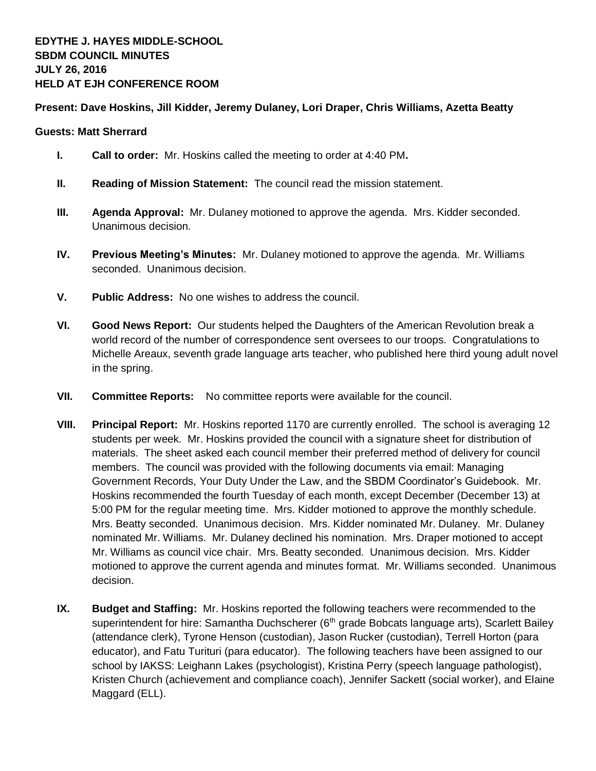## **Present: Dave Hoskins, Jill Kidder, Jeremy Dulaney, Lori Draper, Chris Williams, Azetta Beatty**

## **Guests: Matt Sherrard**

- **I. Call to order:** Mr. Hoskins called the meeting to order at 4:40 PM**.**
- **II. Reading of Mission Statement:** The council read the mission statement.
- **III. Agenda Approval:** Mr. Dulaney motioned to approve the agenda. Mrs. Kidder seconded. Unanimous decision.
- **IV. Previous Meeting's Minutes:** Mr. Dulaney motioned to approve the agenda. Mr. Williams seconded. Unanimous decision.
- **V. Public Address:** No one wishes to address the council.
- **VI. Good News Report:** Our students helped the Daughters of the American Revolution break a world record of the number of correspondence sent oversees to our troops. Congratulations to Michelle Areaux, seventh grade language arts teacher, who published here third young adult novel in the spring.
- **VII. Committee Reports:** No committee reports were available for the council.
- **VIII. Principal Report:** Mr. Hoskins reported 1170 are currently enrolled. The school is averaging 12 students per week. Mr. Hoskins provided the council with a signature sheet for distribution of materials. The sheet asked each council member their preferred method of delivery for council members. The council was provided with the following documents via email: Managing Government Records, Your Duty Under the Law, and the SBDM Coordinator's Guidebook. Mr. Hoskins recommended the fourth Tuesday of each month, except December (December 13) at 5:00 PM for the regular meeting time. Mrs. Kidder motioned to approve the monthly schedule. Mrs. Beatty seconded. Unanimous decision. Mrs. Kidder nominated Mr. Dulaney. Mr. Dulaney nominated Mr. Williams. Mr. Dulaney declined his nomination. Mrs. Draper motioned to accept Mr. Williams as council vice chair. Mrs. Beatty seconded. Unanimous decision. Mrs. Kidder motioned to approve the current agenda and minutes format. Mr. Williams seconded. Unanimous decision.
- **IX. Budget and Staffing:** Mr. Hoskins reported the following teachers were recommended to the superintendent for hire: Samantha Duchscherer ( $6<sup>th</sup>$  grade Bobcats language arts), Scarlett Bailey (attendance clerk), Tyrone Henson (custodian), Jason Rucker (custodian), Terrell Horton (para educator), and Fatu Turituri (para educator). The following teachers have been assigned to our school by IAKSS: Leighann Lakes (psychologist), Kristina Perry (speech language pathologist), Kristen Church (achievement and compliance coach), Jennifer Sackett (social worker), and Elaine Maggard (ELL).